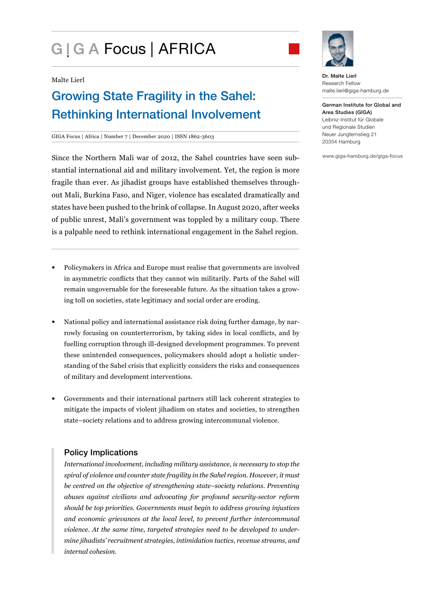# G | G A Focus | AFRICA



#### Malte Lierl

# Growing State Fragility in the Sahel: Rethinking International Involvement

#### GIGA Focus | Africa | Number 7 | December 2020 | ISSN 1862-3603

Since the Northern Mali war of 2012, the Sahel countries have seen substantial international aid and military involvement. Yet, the region is more fragile than ever. As jihadist groups have established themselves throughout Mali, Burkina Faso, and Niger, violence has escalated dramatically and states have been pushed to the brink of collapse. In August 2020, after weeks of public unrest, Mali's government was toppled by a military coup. There is a palpable need to rethink international engagement in the Sahel region.

- Policymakers in Africa and Europe must realise that governments are involved in asymmetric conflicts that they cannot win militarily. Parts of the Sahel will remain ungovernable for the foreseeable future. As the situation takes a growing toll on societies, state legitimacy and social order are eroding.
- National policy and international assistance risk doing further damage, by narrowly focusing on counterterrorism, by taking sides in local conflicts, and by fuelling corruption through ill-designed development programmes. To prevent these unintended consequences, policymakers should adopt a holistic understanding of the Sahel crisis that explicitly considers the risks and consequences of military and development interventions.
- Governments and their international partners still lack coherent strategies to mitigate the impacts of violent jihadism on states and societies, to strengthen state–society relations and to address growing intercommunal violence.

### Policy Implications

*International involvement, including military assistance, is necessary to stop the spiral of violence and counter state fragility in the Sahel region. However, it must be centred on the objective of strengthening state–society relations. Preventing abuses against civilians and advocating for profound security-sector reform should be top priorities. Governments must begin to address growing injustices and economic grievances at the local level, to prevent further intercommunal violence. At the same time, targeted strategies need to be developed to undermine jihadists' recruitment strategies, intimidation tactics, revenue streams, and internal cohesion.*

Dr. Malte Lierl Research Fellow malte.lierl@giga-hamburg.de

German Institute for Global and Area Studies (GIGA) Leibniz-Institut für Globale und Regionale Studien Neuer Jungfernstieg 21 20354 Hamburg

www.giga-hamburg.de/giga-focus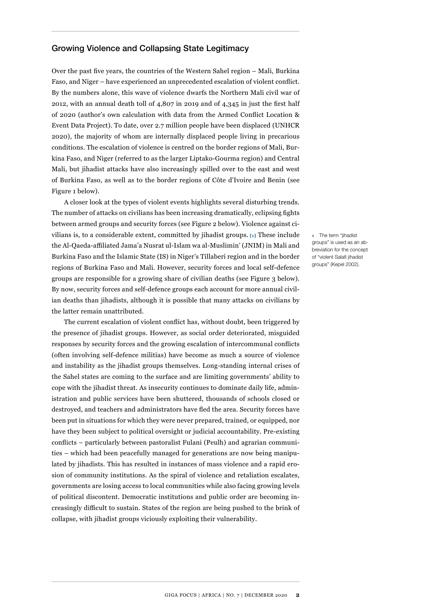#### Growing Violence and Collapsing State Legitimacy

Over the past five years, the countries of the Western Sahel region – Mali, Burkina Faso, and Niger – have experienced an unprecedented escalation of violent conflict. By the numbers alone, this wave of violence dwarfs the Northern Mali civil war of 2012, with an annual death toll of 4,807 in 2019 and of 4,345 in just the first half of 2020 (author's own calculation with data from the Armed Conflict Location & Event Data Project). To date, over 2.7 million people have been displaced (UNHCR 2020), the majority of whom are internally displaced people living in precarious conditions. The escalation of violence is centred on the border regions of Mali, Burkina Faso, and Niger (referred to as the larger Liptako-Gourma region) and Central Mali, but jihadist attacks have also increasingly spilled over to the east and west of Burkina Faso, as well as to the border regions of Côte d'Ivoire and Benin (see Figure 1 below).

A closer look at the types of violent events highlights several disturbing trends. The number of attacks on civilians has been increasing dramatically, eclipsing fights between armed groups and security forces (see Figure 2 below). Violence against civilians is, to a considerable extent, committed by jihadist groups. **[1]** These include the Al-Qaeda-affiliated Jama'a Nusrat ul-Islam wa al-Muslimin' (JNIM) in Mali and Burkina Faso and the Islamic State (IS) in Niger's Tillaberi region and in the border regions of Burkina Faso and Mali. However, security forces and local self-defence groups are responsible for a growing share of civilian deaths (see Figure 3 below). By now, security forces and self-defence groups each account for more annual civilian deaths than jihadists, although it is possible that many attacks on civilians by the latter remain unattributed.

The current escalation of violent conflict has, without doubt, been triggered by the presence of jihadist groups. However, as social order deteriorated, misguided responses by security forces and the growing escalation of intercommunal conflicts (often involving self-defence militias) have become as much a source of violence and instability as the jihadist groups themselves. Long-standing internal crises of the Sahel states are coming to the surface and are limiting governments' ability to cope with the jihadist threat. As insecurity continues to dominate daily life, administration and public services have been shuttered, thousands of schools closed or destroyed, and teachers and administrators have fled the area. Security forces have been put in situations for which they were never prepared, trained, or equipped, nor have they been subject to political oversight or judicial accountability. Pre-existing conflicts – particularly between pastoralist Fulani (Peulh) and agrarian communities – which had been peacefully managed for generations are now being manipulated by jihadists. This has resulted in instances of mass violence and a rapid erosion of community institutions. As the spiral of violence and retaliation escalates, governments are losing access to local communities while also facing growing levels of political discontent. Democratic institutions and public order are becoming increasingly difficult to sustain. States of the region are being pushed to the brink of collapse, with jihadist groups viciously exploiting their vulnerability.

**1** The term "jihadist groups" is used as an abbreviation for the concept of "violent Salafi jihadist groups" (Kepel 2002).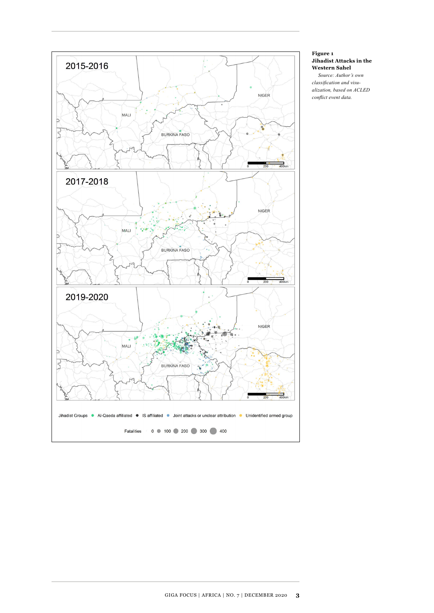

#### **Figure 1 Jihadist Attacks in the Western Sahel**

*Source: Author's own classification and visualization, based on ACLED conflict event data.*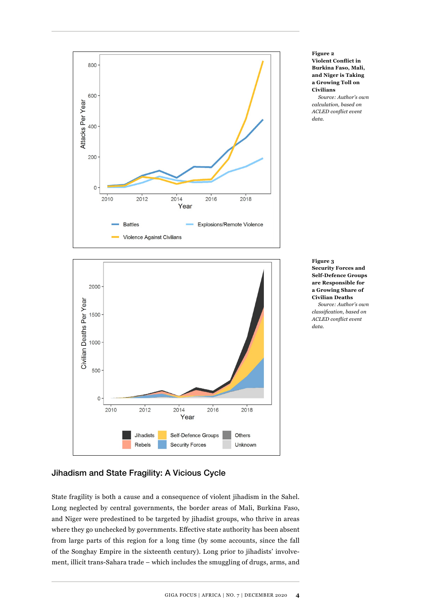

**Figure 2 Violent Conflict in Burkina Faso, Mali, and Niger is Taking a Growing Toll on Civilians** 

*Source: Author's own calculation, based on ACLED conflict event data.*

**Figure 3 Security Forces and Self-Defence Groups are Responsible for a Growing Share of Civilian Deaths**  *Source: Author's own classification, based on ACLED conflict event data.*

# Jihadism and State Fragility: A Vicious Cycle

State fragility is both a cause and a consequence of violent jihadism in the Sahel. Long neglected by central governments, the border areas of Mali, Burkina Faso, and Niger were predestined to be targeted by jihadist groups, who thrive in areas where they go unchecked by governments. Effective state authority has been absent from large parts of this region for a long time (by some accounts, since the fall of the Songhay Empire in the sixteenth century). Long prior to jihadists' involvement, illicit trans-Sahara trade – which includes the smuggling of drugs, arms, and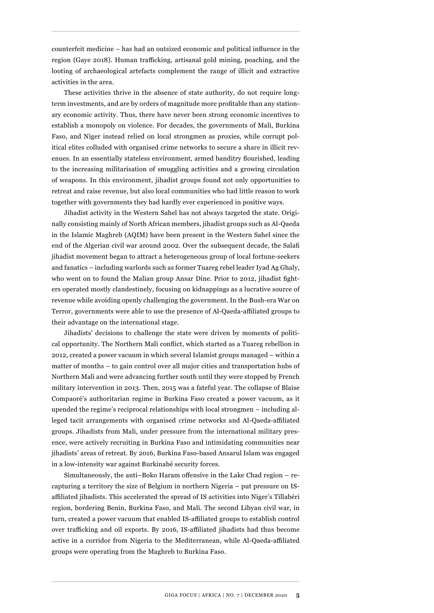counterfeit medicine – has had an outsized economic and political influence in the region (Gaye 2018). Human trafficking, artisanal gold mining, poaching, and the looting of archaeological artefacts complement the range of illicit and extractive activities in the area.

These activities thrive in the absence of state authority, do not require longterm investments, and are by orders of magnitude more profitable than any stationary economic activity. Thus, there have never been strong economic incentives to establish a monopoly on violence. For decades, the governments of Mali, Burkina Faso, and Niger instead relied on local strongmen as proxies, while corrupt political elites colluded with organised crime networks to secure a share in illicit revenues. In an essentially stateless environment, armed banditry flourished, leading to the increasing militarisation of smuggling activities and a growing circulation of weapons. In this environment, jihadist groups found not only opportunities to retreat and raise revenue, but also local communities who had little reason to work together with governments they had hardly ever experienced in positive ways.

Jihadist activity in the Western Sahel has not always targeted the state. Originally consisting mainly of North African members, jihadist groups such as Al-Qaeda in the Islamic Maghreb (AQIM) have been present in the Western Sahel since the end of the Algerian civil war around 2002. Over the subsequent decade, the Salafi jihadist movement began to attract a heterogeneous group of local fortune-seekers and fanatics – including warlords such as former Tuareg rebel leader Iyad Ag Ghaly, who went on to found the Malian group Ansar Dine. Prior to 2012, jihadist fighters operated mostly clandestinely, focusing on kidnappings as a lucrative source of revenue while avoiding openly challenging the government. In the Bush-era War on Terror, governments were able to use the presence of Al-Qaeda-affiliated groups to their advantage on the international stage.

Jihadists' decisions to challenge the state were driven by moments of political opportunity. The Northern Mali conflict, which started as a Tuareg rebellion in 2012, created a power vacuum in which several Islamist groups managed – within a matter of months – to gain control over all major cities and transportation hubs of Northern Mali and were advancing further south until they were stopped by French military intervention in 2013. Then, 2015 was a fateful year. The collapse of Blaise Compaoré's authoritarian regime in Burkina Faso created a power vacuum, as it upended the regime's reciprocal relationships with local strongmen – including alleged tacit arrangements with organised crime networks and Al-Qaeda-affiliated groups. Jihadists from Mali, under pressure from the international military presence, were actively recruiting in Burkina Faso and intimidating communities near jihadists' areas of retreat. By 2016, Burkina Faso-based Ansarul Islam was engaged in a low-intensity war against Burkinabé security forces.

Simultaneously, the anti–Boko Haram offensive in the Lake Chad region – recapturing a territory the size of Belgium in northern Nigeria – put pressure on ISaffiliated jihadists. This accelerated the spread of IS activities into Niger's Tillabéri region, bordering Benin, Burkina Faso, and Mali. The second Libyan civil war, in turn, created a power vacuum that enabled IS-affiliated groups to establish control over trafficking and oil exports. By 2016, IS-affiliated jihadists had thus become active in a corridor from Nigeria to the Mediterranean, while Al-Qaeda-affiliated groups were operating from the Maghreb to Burkina Faso.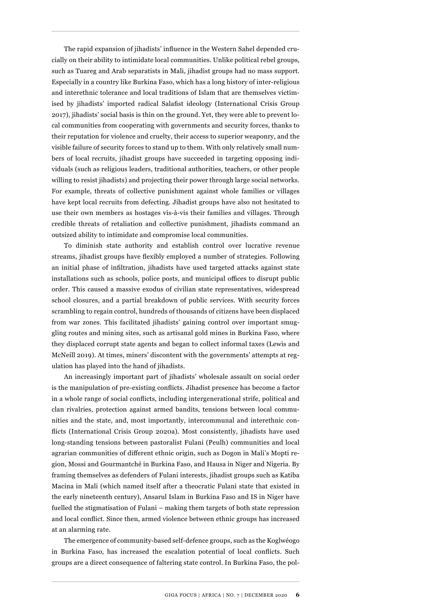The rapid expansion of jihadists' influence in the Western Sahel depended crucially on their ability to intimidate local communities. Unlike political rebel groups, such as Tuareg and Arab separatists in Mali, jihadist groups had no mass support. Especially in a country like Burkina Faso, which has a long history of inter-religious and interethnic tolerance and local traditions of Islam that are themselves victimised by jihadists' imported radical Salafist ideology (International Crisis Group 2017), jihadists' social basis is thin on the ground. Yet, they were able to prevent local communities from cooperating with governments and security forces, thanks to their reputation for violence and cruelty, their access to superior weaponry, and the visible failure of security forces to stand up to them. With only relatively small numbers of local recruits, jihadist groups have succeeded in targeting opposing individuals (such as religious leaders, traditional authorities, teachers, or other people willing to resist jihadists) and projecting their power through large social networks. For example, threats of collective punishment against whole families or villages have kept local recruits from defecting. Jihadist groups have also not hesitated to use their own members as hostages vis-à-vis their families and villages. Through credible threats of retaliation and collective punishment, jihadists command an outsized ability to intimidate and compromise local communities.

To diminish state authority and establish control over lucrative revenue streams, jihadist groups have flexibly employed a number of strategies. Following an initial phase of infiltration, jihadists have used targeted attacks against state installations such as schools, police posts, and municipal offices to disrupt public order. This caused a massive exodus of civilian state representatives, widespread school closures, and a partial breakdown of public services. With security forces scrambling to regain control, hundreds of thousands of citizens have been displaced from war zones. This facilitated jihadists' gaining control over important smuggling routes and mining sites, such as artisanal gold mines in Burkina Faso, where they displaced corrupt state agents and began to collect informal taxes (Lewis and McNeill 2019). At times, miners' discontent with the governments' attempts at regulation has played into the hand of jihadists.

An increasingly important part of jihadists' wholesale assault on social order is the manipulation of pre-existing conflicts. Jihadist presence has become a factor in a whole range of social conflicts, including intergenerational strife, political and clan rivalries, protection against armed bandits, tensions between local communities and the state, and, most importantly, intercommunal and interethnic conflicts (International Crisis Group 2020a). Most consistently, jihadists have used long-standing tensions between pastoralist Fulani (Peulh) communities and local agrarian communities of different ethnic origin, such as Dogon in Mali's Mopti region, Mossi and Gourmantché in Burkina Faso, and Hausa in Niger and Nigeria. By framing themselves as defenders of Fulani interests, jihadist groups such as Katiba Macina in Mali (which named itself after a theocratic Fulani state that existed in the early nineteenth century), Ansarul Islam in Burkina Faso and IS in Niger have fuelled the stigmatisation of Fulani – making them targets of both state repression and local conflict. Since then, armed violence between ethnic groups has increased at an alarming rate.

The emergence of community-based self-defence groups, such as the Koglwéogo in Burkina Faso, has increased the escalation potential of local conflicts. Such groups are a direct consequence of faltering state control. In Burkina Faso, the pol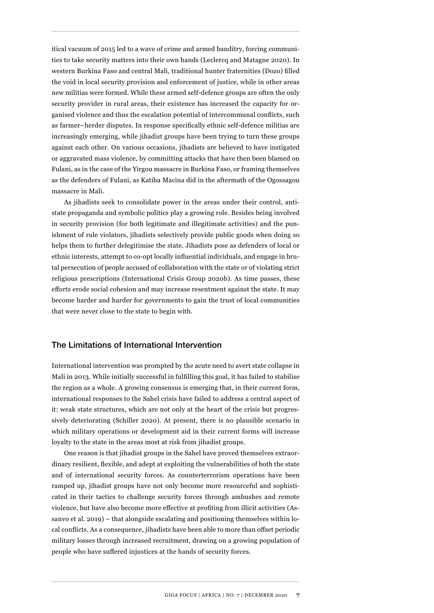itical vacuum of 2015 led to a wave of crime and armed banditry, forcing communities to take security matters into their own hands (Leclercq and Matagne 2020). In western Burkina Faso and central Mali, traditional hunter fraternities (Dozo) filled the void in local security provision and enforcement of justice, while in other areas new militias were formed. While these armed self-defence groups are often the only security provider in rural areas, their existence has increased the capacity for organised violence and thus the escalation potential of intercommunal conflicts, such as farmer–herder disputes. In response specifically ethnic self-defence militias are increasingly emerging, while jihadist groups have been trying to turn these groups against each other. On various occasions, jihadists are believed to have instigated or aggravated mass violence, by committing attacks that have then been blamed on Fulani, as in the case of the Yirgou massacre in Burkina Faso, or framing themselves as the defenders of Fulani, as Katiba Macina did in the aftermath of the Ogossagou massacre in Mali.

As jihadists seek to consolidate power in the areas under their control, antistate propaganda and symbolic politics play a growing role. Besides being involved in security provision (for both legitimate and illegitimate activities) and the punishment of rule violators, jihadists selectively provide public goods when doing so helps them to further delegitimise the state. Jihadists pose as defenders of local or ethnic interests, attempt to co-opt locally influential individuals, and engage in brutal persecution of people accused of collaboration with the state or of violating strict religious prescriptions (International Crisis Group 2020b). As time passes, these efforts erode social cohesion and may increase resentment against the state. It may become harder and harder for governments to gain the trust of local communities that were never close to the state to begin with.

#### The Limitations of International Intervention

International intervention was prompted by the acute need to avert state collapse in Mali in 2013. While initially successful in fulfilling this goal, it has failed to stabilise the region as a whole. A growing consensus is emerging that, in their current form, international responses to the Sahel crisis have failed to address a central aspect of it: weak state structures, which are not only at the heart of the crisis but progressively deteriorating (Schiller 2020). At present, there is no plausible scenario in which military operations or development aid in their current forms will increase loyalty to the state in the areas most at risk from jihadist groups.

One reason is that jihadist groups in the Sahel have proved themselves extraordinary resilient, flexible, and adept at exploiting the vulnerabilities of both the state and of international security forces. As counterterrorism operations have been ramped up, jihadist groups have not only become more resourceful and sophisticated in their tactics to challenge security forces through ambushes and remote violence, but have also become more effective at profiting from illicit activities (Assanvo et al. 2019) – that alongside escalating and positioning themselves within local conflicts. As a consequence, jihadists have been able to more than offset periodic military losses through increased recruitment, drawing on a growing population of people who have suffered injustices at the hands of security forces.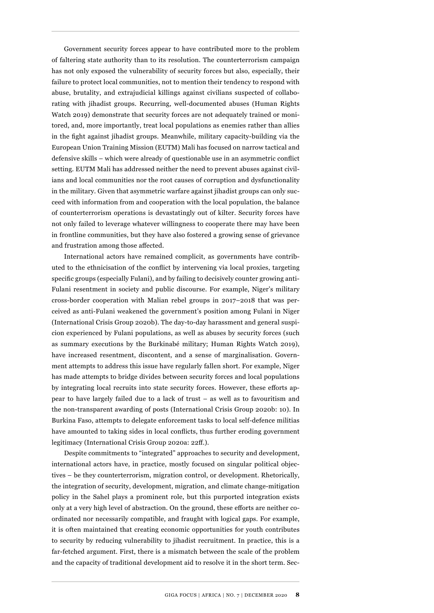Government security forces appear to have contributed more to the problem of faltering state authority than to its resolution. The counterterrorism campaign has not only exposed the vulnerability of security forces but also, especially, their failure to protect local communities, not to mention their tendency to respond with abuse, brutality, and extrajudicial killings against civilians suspected of collaborating with jihadist groups. Recurring, well-documented abuses (Human Rights Watch 2019) demonstrate that security forces are not adequately trained or monitored, and, more importantly, treat local populations as enemies rather than allies in the fight against jihadist groups. Meanwhile, military capacity-building via the European Union Training Mission (EUTM) Mali has focused on narrow tactical and defensive skills – which were already of questionable use in an asymmetric conflict setting. EUTM Mali has addressed neither the need to prevent abuses against civilians and local communities nor the root causes of corruption and dysfunctionality in the military. Given that asymmetric warfare against jihadist groups can only succeed with information from and cooperation with the local population, the balance of counterterrorism operations is devastatingly out of kilter. Security forces have not only failed to leverage whatever willingness to cooperate there may have been in frontline communities, but they have also fostered a growing sense of grievance and frustration among those affected.

International actors have remained complicit, as governments have contributed to the ethnicisation of the conflict by intervening via local proxies, targeting specific groups (especially Fulani), and by failing to decisively counter growing anti-Fulani resentment in society and public discourse. For example, Niger's military cross-border cooperation with Malian rebel groups in 2017–2018 that was perceived as anti-Fulani weakened the government's position among Fulani in Niger (International Crisis Group 2020b). The day-to-day harassment and general suspicion experienced by Fulani populations, as well as abuses by security forces (such as summary executions by the Burkinabé military; Human Rights Watch 2019), have increased resentment, discontent, and a sense of marginalisation. Government attempts to address this issue have regularly fallen short. For example, Niger has made attempts to bridge divides between security forces and local populations by integrating local recruits into state security forces. However, these efforts appear to have largely failed due to a lack of trust – as well as to favouritism and the non-transparent awarding of posts (International Crisis Group 2020b: 10). In Burkina Faso, attempts to delegate enforcement tasks to local self-defence militias have amounted to taking sides in local conflicts, thus further eroding government legitimacy (International Crisis Group 2020a: 22ff.).

Despite commitments to "integrated" approaches to security and development, international actors have, in practice, mostly focused on singular political objectives – be they counterterrorism, migration control, or development. Rhetorically, the integration of security, development, migration, and climate change-mitigation policy in the Sahel plays a prominent role, but this purported integration exists only at a very high level of abstraction. On the ground, these efforts are neither coordinated nor necessarily compatible, and fraught with logical gaps. For example, it is often maintained that creating economic opportunities for youth contributes to security by reducing vulnerability to jihadist recruitment. In practice, this is a far-fetched argument. First, there is a mismatch between the scale of the problem and the capacity of traditional development aid to resolve it in the short term. Sec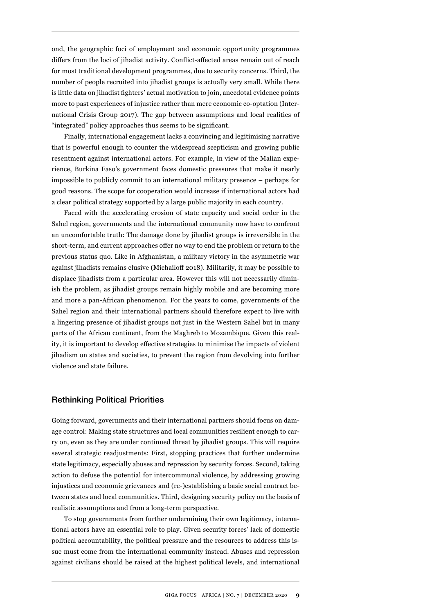ond, the geographic foci of employment and economic opportunity programmes differs from the loci of jihadist activity. Conflict-affected areas remain out of reach for most traditional development programmes, due to security concerns. Third, the number of people recruited into jihadist groups is actually very small. While there is little data on jihadist fighters' actual motivation to join, anecdotal evidence points more to past experiences of injustice rather than mere economic co-optation (International Crisis Group 2017). The gap between assumptions and local realities of "integrated" policy approaches thus seems to be significant.

Finally, international engagement lacks a convincing and legitimising narrative that is powerful enough to counter the widespread scepticism and growing public resentment against international actors. For example, in view of the Malian experience, Burkina Faso's government faces domestic pressures that make it nearly impossible to publicly commit to an international military presence – perhaps for good reasons. The scope for cooperation would increase if international actors had a clear political strategy supported by a large public majority in each country.

Faced with the accelerating erosion of state capacity and social order in the Sahel region, governments and the international community now have to confront an uncomfortable truth: The damage done by jihadist groups is irreversible in the short-term, and current approaches offer no way to end the problem or return to the previous status quo. Like in Afghanistan, a military victory in the asymmetric war against jihadists remains elusive (Michailoff 2018). Militarily, it may be possible to displace jihadists from a particular area. However this will not necessarily diminish the problem, as jihadist groups remain highly mobile and are becoming more and more a pan-African phenomenon. For the years to come, governments of the Sahel region and their international partners should therefore expect to live with a lingering presence of jihadist groups not just in the Western Sahel but in many parts of the African continent, from the Maghreb to Mozambique. Given this reality, it is important to develop effective strategies to minimise the impacts of violent jihadism on states and societies, to prevent the region from devolving into further violence and state failure.

#### Rethinking Political Priorities

Going forward, governments and their international partners should focus on damage control: Making state structures and local communities resilient enough to carry on, even as they are under continued threat by jihadist groups. This will require several strategic readjustments: First, stopping practices that further undermine state legitimacy, especially abuses and repression by security forces. Second, taking action to defuse the potential for intercommunal violence, by addressing growing injustices and economic grievances and (re-)establishing a basic social contract between states and local communities. Third, designing security policy on the basis of realistic assumptions and from a long-term perspective.

To stop governments from further undermining their own legitimacy, international actors have an essential role to play. Given security forces' lack of domestic political accountability, the political pressure and the resources to address this issue must come from the international community instead. Abuses and repression against civilians should be raised at the highest political levels, and international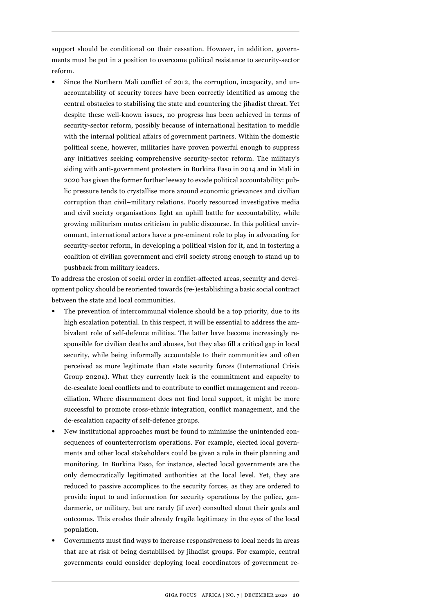support should be conditional on their cessation. However, in addition, governments must be put in a position to overcome political resistance to security-sector reform.

Since the Northern Mali conflict of 2012, the corruption, incapacity, and unaccountability of security forces have been correctly identified as among the central obstacles to stabilising the state and countering the jihadist threat. Yet despite these well-known issues, no progress has been achieved in terms of security-sector reform, possibly because of international hesitation to meddle with the internal political affairs of government partners. Within the domestic political scene, however, militaries have proven powerful enough to suppress any initiatives seeking comprehensive security-sector reform. The military's siding with anti-government protesters in Burkina Faso in 2014 and in Mali in 2020 has given the former further leeway to evade political accountability: public pressure tends to crystallise more around economic grievances and civilian corruption than civil–military relations. Poorly resourced investigative media and civil society organisations fight an uphill battle for accountability, while growing militarism mutes criticism in public discourse. In this political environment, international actors have a pre-eminent role to play in advocating for security-sector reform, in developing a political vision for it, and in fostering a coalition of civilian government and civil society strong enough to stand up to pushback from military leaders.

To address the erosion of social order in conflict-affected areas, security and development policy should be reoriented towards (re-)establishing a basic social contract between the state and local communities.

- The prevention of intercommunal violence should be a top priority, due to its high escalation potential. In this respect, it will be essential to address the ambivalent role of self-defence militias. The latter have become increasingly responsible for civilian deaths and abuses, but they also fill a critical gap in local security, while being informally accountable to their communities and often perceived as more legitimate than state security forces (International Crisis Group 2020a). What they currently lack is the commitment and capacity to de-escalate local conflicts and to contribute to conflict management and reconciliation. Where disarmament does not find local support, it might be more successful to promote cross-ethnic integration, conflict management, and the de-escalation capacity of self-defence groups.
- New institutional approaches must be found to minimise the unintended consequences of counterterrorism operations. For example, elected local governments and other local stakeholders could be given a role in their planning and monitoring. In Burkina Faso, for instance, elected local governments are the only democratically legitimated authorities at the local level. Yet, they are reduced to passive accomplices to the security forces, as they are ordered to provide input to and information for security operations by the police, gendarmerie, or military, but are rarely (if ever) consulted about their goals and outcomes. This erodes their already fragile legitimacy in the eyes of the local population.
- Governments must find ways to increase responsiveness to local needs in areas that are at risk of being destabilised by jihadist groups. For example, central governments could consider deploying local coordinators of government re-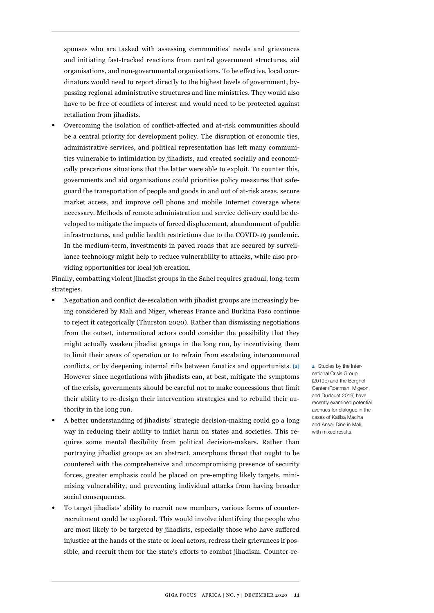sponses who are tasked with assessing communities' needs and grievances and initiating fast-tracked reactions from central government structures, aid organisations, and non-governmental organisations. To be effective, local coordinators would need to report directly to the highest levels of government, bypassing regional administrative structures and line ministries. They would also have to be free of conflicts of interest and would need to be protected against retaliation from jihadists.

• Overcoming the isolation of conflict-affected and at-risk communities should be a central priority for development policy. The disruption of economic ties, administrative services, and political representation has left many communities vulnerable to intimidation by jihadists, and created socially and economically precarious situations that the latter were able to exploit. To counter this, governments and aid organisations could prioritise policy measures that safeguard the transportation of people and goods in and out of at-risk areas, secure market access, and improve cell phone and mobile Internet coverage where necessary. Methods of remote administration and service delivery could be developed to mitigate the impacts of forced displacement, abandonment of public infrastructures, and public health restrictions due to the COVID-19 pandemic. In the medium-term, investments in paved roads that are secured by surveillance technology might help to reduce vulnerability to attacks, while also providing opportunities for local job creation.

Finally, combatting violent jihadist groups in the Sahel requires gradual, long-term strategies.

- Negotiation and conflict de-escalation with jihadist groups are increasingly being considered by Mali and Niger, whereas France and Burkina Faso continue to reject it categorically (Thurston 2020). Rather than dismissing negotiations from the outset, international actors could consider the possibility that they might actually weaken jihadist groups in the long run, by incentivising them to limit their areas of operation or to refrain from escalating intercommunal conflicts, or by deepening internal rifts between fanatics and opportunists. **[2]** However since negotiations with jihadists can, at best, mitigate the symptoms of the crisis, governments should be careful not to make concessions that limit their ability to re-design their intervention strategies and to rebuild their authority in the long run.
- A better understanding of jihadists' strategic decision-making could go a long way in reducing their ability to inflict harm on states and societies. This requires some mental flexibility from political decision-makers. Rather than portraying jihadist groups as an abstract, amorphous threat that ought to be countered with the comprehensive and uncompromising presence of security forces, greater emphasis could be placed on pre-empting likely targets, minimising vulnerability, and preventing individual attacks from having broader social consequences.
- To target jihadists' ability to recruit new members, various forms of counterrecruitment could be explored. This would involve identifying the people who are most likely to be targeted by jihadists, especially those who have suffered injustice at the hands of the state or local actors, redress their grievances if possible, and recruit them for the state's efforts to combat jihadism. Counter-re-

**2** Studies by the International Crisis Group (2019b) and the Berghot Center (Roetman, Migeon, and Dudouet 2019) have recently examined potential avenues for dialogue in the cases of Katiba Macina and Ansar Dine in Mali, with mixed results.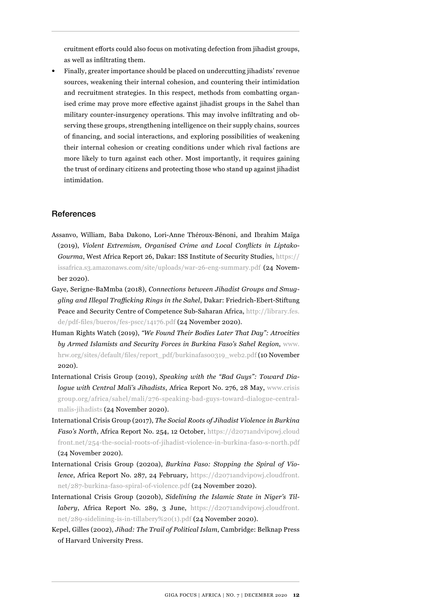cruitment efforts could also focus on motivating defection from jihadist groups, as well as infiltrating them.

• Finally, greater importance should be placed on undercutting jihadists' revenue sources, weakening their internal cohesion, and countering their intimidation and recruitment strategies. In this respect, methods from combatting organised crime may prove more effective against jihadist groups in the Sahel than military counter-insurgency operations. This may involve infiltrating and observing these groups, strengthening intelligence on their supply chains, sources of financing, and social interactions, and exploring possibilities of weakening their internal cohesion or creating conditions under which rival factions are more likely to turn against each other. Most importantly, it requires gaining the trust of ordinary citizens and protecting those who stand up against jihadist intimidation.

#### References

- Assanvo, William, Baba Dakono, Lori-Anne Théroux-Bénoni, and Ibrahim Maïga (2019), *Violent Extremism, Organised Crime and Local Conflicts in Liptako-Gourma*, West Africa Report 26, Dakar: ISS Institute of Security Studies, [https://](https://issafrica.s3.amazonaws.com/site/uploads/war-26-eng-summary.pdf) [issafrica.s3.amazonaws.com/site/uploads/war-26-eng-summary.pdf](https://issafrica.s3.amazonaws.com/site/uploads/war-26-eng-summary.pdf) (24 November 2020).
- Gaye, Serigne-BaMmba (2018), *Connections between Jihadist Groups and Smuggling and Illegal Trafficking Rings in the Sahel*, Dakar: Friedrich-Ebert-Stiftung Peace and Security Centre of Competence Sub-Saharan Africa, [http://library.fes.](http://library.fes.de/pdf-files/bueros/fes-pscc/14176.pdf) [de/pdf-files/bueros/fes-pscc/14176.pdf](http://library.fes.de/pdf-files/bueros/fes-pscc/14176.pdf) (24 November 2020).
- Human Rights Watch (2019), *"We Found Their Bodies Later That Day": Atrocities by Armed Islamists and Security Forces in Burkina Faso's Sahel Region*, [www.](http://www.hrw.org/sites/default/files/report_pdf/burkinafaso0319_web2.pdf) [hrw.org/sites/default/files/report\\_pdf/burkinafaso0319\\_web2.pdf](http://www.hrw.org/sites/default/files/report_pdf/burkinafaso0319_web2.pdf) (10 November 2020).
- International Crisis Group (2019), *Speaking with the "Bad Guys": Toward Dialogue with Central Mali's Jihadists*, Africa Report No. 276, 28 May, [www.crisis](http://www.crisisgroup.org/africa/sahel/mali/276-speaking-bad-guys-toward-dialogue-central-malis-jihadists)  [group.org/africa/sahel/mali/276-speaking-bad-guys-toward-dialogue-central](http://www.crisisgroup.org/africa/sahel/mali/276-speaking-bad-guys-toward-dialogue-central-malis-jihadists)[malis-jihadists](http://www.crisisgroup.org/africa/sahel/mali/276-speaking-bad-guys-toward-dialogue-central-malis-jihadists) (24 November 2020).
- International Crisis Group (2017), *The Social Roots of Jihadist Violence in Burkina Faso's North*, Africa Report No. 254, 12 October, [https://d2071andvip0wj.cloud](https://d2071andvip0wj.cloudfront.net/254-the-social-roots-of-jihadist-violence-in-burkina-faso-s-north.pdf ) [front.net/254-the-social-roots-of-jihadist-violence-in-burkina-faso-s-north.pdf](https://d2071andvip0wj.cloudfront.net/254-the-social-roots-of-jihadist-violence-in-burkina-faso-s-north.pdf ) (24 November 2020).
- International Crisis Group (2020a), *Burkina Faso: Stopping the Spiral of Violence*, Africa Report No. 287, 24 February, [https://d2071andvip0wj.cloudfront.](https://d2071andvip0wj.cloudfront.net/287-burkina-faso-spiral-of-violence.pdf) [net/287-burkina-faso-spiral-of-violence.pdf](https://d2071andvip0wj.cloudfront.net/287-burkina-faso-spiral-of-violence.pdf) (24 November 2020).
- International Crisis Group (2020b), *Sidelining the Islamic State in Niger's Tillabery*, Africa Report No. 289, 3 June, https://d2071andvipowj.cloudfront. [net/289-sidelining-is-in-tillabery%20\(1\).pdf](https://d2071andvip0wj.cloudfront.net/289-sidelining-is-in-tillabery%20(1).pdf) (24 November 2020).
- Kepel, Gilles (2002), *Jihad: The Trail of Political Islam*, Cambridge: Belknap Press of Harvard University Press.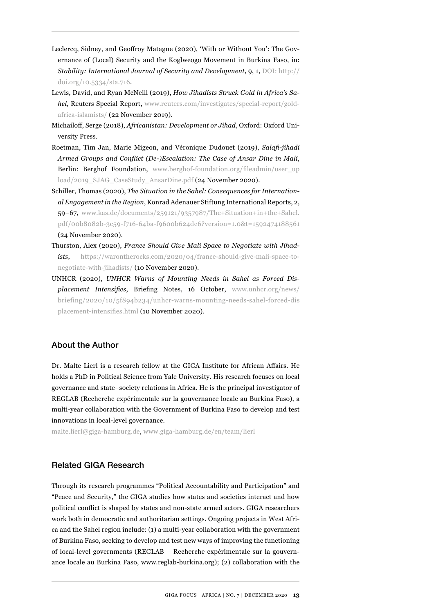- Leclercq, Sidney, and Geoffroy Matagne (2020), 'With or Without You': The Governance of (Local) Security and the Koglweogo Movement in Burkina Faso, in: *Stability: International Journal of Security and Development*, 9, 1, [DOI: http://](DOI: http://doi.org/10.5334/sta.716) [doi.org/10.5334/sta.716.](DOI: http://doi.org/10.5334/sta.716)
- Lewis, David, and Ryan McNeill (2019), *How Jihadists Struck Gold in Africa's Sahel*, Reuters Special Report, [www.reuters.com/investigates/special-report/gold](http://www.reuters.com/investigates/special-report/gold-africa-islamists/)[africa-islamists/](http://www.reuters.com/investigates/special-report/gold-africa-islamists/) (22 November 2019).
- Michailoff, Serge (2018), *Africanistan: Development or Jihad*, Oxford: Oxford University Press.
- Roetman, Tim Jan, Marie Migeon, and Véronique Dudouet (2019), *Salafi-jihadi Armed Groups and Conflict (De-)Escalation: The Case of Ansar Dine in Mali*, Berlin: Berghof Foundation, [www.berghof-foundation.org/fileadmin/user\\_up](http://www.berghof-foundation.org/fileadmin/user_upload/2019_SJAG_CaseStudy_AnsarDine.pdf) [load/2019\\_SJAG\\_CaseStudy\\_AnsarDine.pdf](http://www.berghof-foundation.org/fileadmin/user_upload/2019_SJAG_CaseStudy_AnsarDine.pdf) (24 November 2020).
- Schiller, Thomas (2020), *The Situation in the Sahel: Consequences for International Engagement in the Region*, Konrad Adenauer Stiftung International Reports, 2, 59–67, [www.kas.de/documents/259121/9357987/The+Situation+in+the+Sahel.](https://www.kas.de/documents/259121/9357987/The+Situation+in+the+Sahel.pdf/00b8082b-3c59-f716-64ba-f9600b624de6?version=1.0&t=1592474188561) [pdf/00b8082b-3c59-f716-64ba-f9600b624de6?version=1.0&t=1592474188561](https://www.kas.de/documents/259121/9357987/The+Situation+in+the+Sahel.pdf/00b8082b-3c59-f716-64ba-f9600b624de6?version=1.0&t=1592474188561) (24 November 2020).
- Thurston, Alex (2020), *France Should Give Mali Space to Negotiate with Jihadists*, [https://warontherocks.com/2020/04/france-should-give-mali-space-to](https://warontherocks.com/2020/04/france-should-give-mali-space-to-negotiate-with-jihadists/)[negotiate-with-jihadists/](https://warontherocks.com/2020/04/france-should-give-mali-space-to-negotiate-with-jihadists/) (10 November 2020).
- UNHCR (2020), *UNHCR Warns of Mounting Needs in Sahel as Forced Displacement Intensifies*, Briefing Notes, 16 October, [www.unhcr.org/news/](https://www.unhcr.org/news/briefing/2020/10/5f894b234/unhcr-warns-mounting-needs-sahel-forced-displacement-intensifies.html) [briefing/2020/10/5f894b234/unhcr-warns-mounting-needs-sahel-forced-dis](https://www.unhcr.org/news/briefing/2020/10/5f894b234/unhcr-warns-mounting-needs-sahel-forced-displacement-intensifies.html) [placement-intensifies.html](https://www.unhcr.org/news/briefing/2020/10/5f894b234/unhcr-warns-mounting-needs-sahel-forced-displacement-intensifies.html) (10 November 2020).

# About the Author

Dr. Malte Lierl is a research fellow at the GIGA Institute for African Affairs. He holds a PhD in Political Science from Yale University. His research focuses on local governance and state–society relations in Africa. He is the principal investigator of REGLAB (Recherche expérimentale sur la gouvernance locale au Burkina Faso), a multi-year collaboration with the Government of Burkina Faso to develop and test innovations in local-level governance.

malte.lierl@giga-hamburg.de, [www.giga-hamburg.de/en/team/lierl](http://www.giga-hamburg.de/en/team/lierl)

# Related GIGA Research

Through its research programmes "Political Accountability and Participation" and "Peace and Security," the GIGA studies how states and societies interact and how political conflict is shaped by states and non-state armed actors. GIGA researchers work both in democratic and authoritarian settings. Ongoing projects in West Africa and the Sahel region include: (1) a multi-year collaboration with the government of Burkina Faso, seeking to develop and test new ways of improving the functioning of local-level governments (REGLAB – Recherche expérimentale sur la gouvernance locale au Burkina Faso, www.reglab-burkina.org); (2) collaboration with the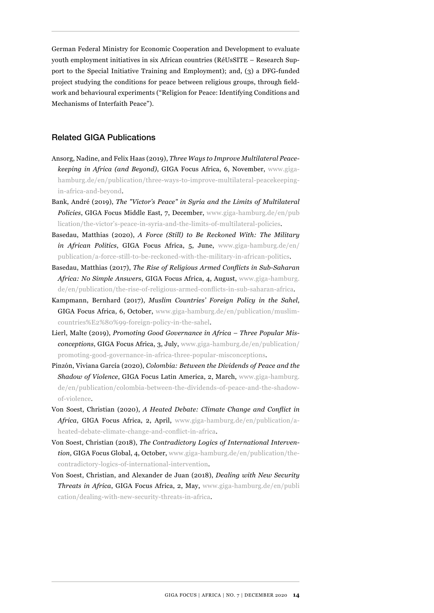German Federal Ministry for Economic Cooperation and Development to evaluate youth employment initiatives in six African countries (RéUsSITE – Research Support to the Special Initiative Training and Employment); and, (3) a DFG-funded project studying the conditions for peace between religious groups, through fieldwork and behavioural experiments ("Religion for Peace: Identifying Conditions and Mechanisms of Interfaith Peace").

## Related GIGA Publications

- Ansorg, Nadine, and Felix Haas (2019), *Three Ways to Improve Multilateral Peacekeeping in Africa (and Beyond)*, GIGA Focus Africa, 6, November, [www.giga](https://www.giga-hamburg.de/en/publication/three-ways-to-improve-multilateral-peacekeeping-in-africa-and-beyond)[hamburg.de/en/publication/three-ways-to-improve-multilateral-peacekeeping](https://www.giga-hamburg.de/en/publication/three-ways-to-improve-multilateral-peacekeeping-in-africa-and-beyond)[in-africa-and-beyond](https://www.giga-hamburg.de/en/publication/three-ways-to-improve-multilateral-peacekeeping-in-africa-and-beyond).
- Bank, André (2019), *The "Victor's Peace" in Syria and the Limits of Multilateral Policies*, GIGA Focus Middle East, 7, December, [www.giga-hamburg.de/en/pub](https://www.giga-hamburg.de/en/publication/the-victor’s-peace-in-syria-and-the-limits-of-multilateral-policies) [lication/the-victor's-peace-in-syria-and-the-limits-of-multilateral-policies.](https://www.giga-hamburg.de/en/publication/the-victor’s-peace-in-syria-and-the-limits-of-multilateral-policies)
- Basedau, Matthias (2020), *A Force (Still) to Be Reckoned With: The Military in African Politics*, GIGA Focus Africa, 5, June, [www.giga-hamburg.de/en/](https://www.giga-hamburg.de/en/publication/a-force-still-to-be-reckoned-with-the-military-in-african-politics) [publication/a-force-still-to-be-reckoned-with-the-military-in-african-politics](https://www.giga-hamburg.de/en/publication/a-force-still-to-be-reckoned-with-the-military-in-african-politics).
- Basedau, Matthias (2017), *The Rise of Religious Armed Conflicts in Sub-Saharan Africa: No Simple Answers*, GIGA Focus Africa, 4, August, [www.giga-hamburg.](http://www.giga-hamburg.de/en/publication/the-rise-of-religious-armed-conflicts-in-sub-saharan-africa) [de/en/publication/the-rise-of-religious-armed-conflicts-in-sub-saharan-africa](http://www.giga-hamburg.de/en/publication/the-rise-of-religious-armed-conflicts-in-sub-saharan-africa).
- Kampmann, Bernhard (2017), *Muslim Countries' Foreign Policy in the Sahel*, GIGA Focus Africa, 6, October, [www.giga-hamburg.de/en/publication/muslim](http://www.giga-hamburg.de/en/publication/muslim-countries%E2%80%99-foreign-policy-in-the-sahel)[countries%E2%80%99-foreign-policy-in-the-sahel.](http://www.giga-hamburg.de/en/publication/muslim-countries%E2%80%99-foreign-policy-in-the-sahel)
- Lierl, Malte (2019), *Promoting Good Governance in Africa Three Popular Misconceptions*, GIGA Focus Africa, 3, July, [www.giga-hamburg.de/en/publication/](http://www.giga-hamburg.de/en/publication/promoting-good-governance-in-africa-three-popular-misconceptions) [promoting-good-governance-in-africa-three-popular-misconceptions](http://www.giga-hamburg.de/en/publication/promoting-good-governance-in-africa-three-popular-misconceptions).
- Pinzón, Viviana García (2020), *Colombia: Between the Dividends of Peace and the Shadow of Violence*, GIGA Focus Latin America, 2, March, [www.giga-hamburg.](https://www.giga-hamburg.de/en/publication/colombia-between-the-dividends-of-peace-and-the-shadow-of-violence) [de/en/publication/colombia-between-the-dividends-of-peace-and-the-shadow](https://www.giga-hamburg.de/en/publication/colombia-between-the-dividends-of-peace-and-the-shadow-of-violence)[of-violence.](https://www.giga-hamburg.de/en/publication/colombia-between-the-dividends-of-peace-and-the-shadow-of-violence)
- Von Soest, Christian (2020), *A Heated Debate: Climate Change and Conflict in Africa*, GIGA Focus Africa, 2, April, [www.giga-hamburg.de/en/publication/a](http://www.giga-hamburg.de/en/publication/a-heated-debate-climate-change-and-conflict-in-africa)[heated-debate-climate-change-and-conflict-in-africa](http://www.giga-hamburg.de/en/publication/a-heated-debate-climate-change-and-conflict-in-africa).
- Von Soest, Christian (2018), *The Contradictory Logics of International Intervention*, GIGA Focus Global, 4, October, [www.giga-hamburg.de/en/publication/the](http://www.giga-hamburg.de/en/publication/the-contradictory-logics-of-international-intervention)[contradictory-logics-of-international-intervention.](http://www.giga-hamburg.de/en/publication/the-contradictory-logics-of-international-intervention)
- Von Soest, Christian, and Alexander de Juan (2018), *Dealing with New Security Threats in Africa*, GIGA Focus Africa, 2, May, [www.giga-hamburg.de/en/publi](http://www.giga-hamburg.de/en/publication/dealing-with-new-security-threats-in-africa) [cation/dealing-with-new-security-threats-in-africa.](http://www.giga-hamburg.de/en/publication/dealing-with-new-security-threats-in-africa)